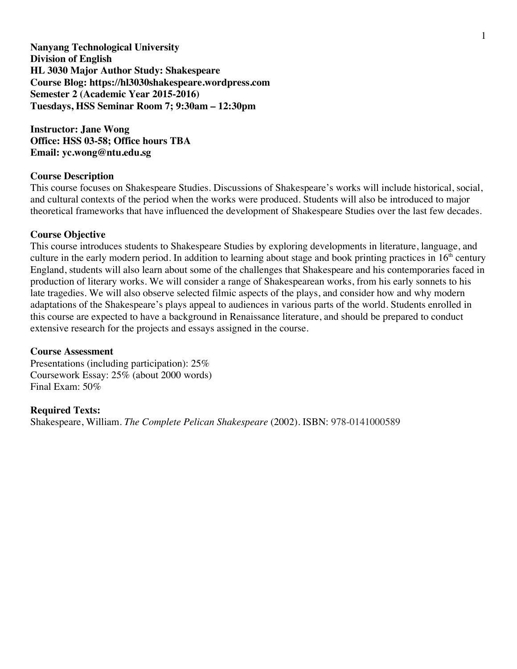**Nanyang Technological University Division of English HL 3030 Major Author Study: Shakespeare Course Blog: https://hl3030shakespeare.wordpress.com Semester 2 (Academic Year 2015-2016) Tuesdays, HSS Seminar Room 7; 9:30am – 12:30pm**

**Instructor: Jane Wong Office: HSS 03-58; Office hours TBA Email: yc.wong@ntu.edu.sg**

## **Course Description**

This course focuses on Shakespeare Studies. Discussions of Shakespeare's works will include historical, social, and cultural contexts of the period when the works were produced. Students will also be introduced to major theoretical frameworks that have influenced the development of Shakespeare Studies over the last few decades.

## **Course Objective**

This course introduces students to Shakespeare Studies by exploring developments in literature, language, and culture in the early modern period. In addition to learning about stage and book printing practices in  $16<sup>th</sup>$  century England, students will also learn about some of the challenges that Shakespeare and his contemporaries faced in production of literary works. We will consider a range of Shakespearean works, from his early sonnets to his late tragedies. We will also observe selected filmic aspects of the plays, and consider how and why modern adaptations of the Shakespeare's plays appeal to audiences in various parts of the world. Students enrolled in this course are expected to have a background in Renaissance literature, and should be prepared to conduct extensive research for the projects and essays assigned in the course.

## **Course Assessment**

Presentations (including participation): 25% Coursework Essay: 25% (about 2000 words) Final Exam: 50%

## **Required Texts:**

Shakespeare, William. *The Complete Pelican Shakespeare* (2002). ISBN: 978-0141000589